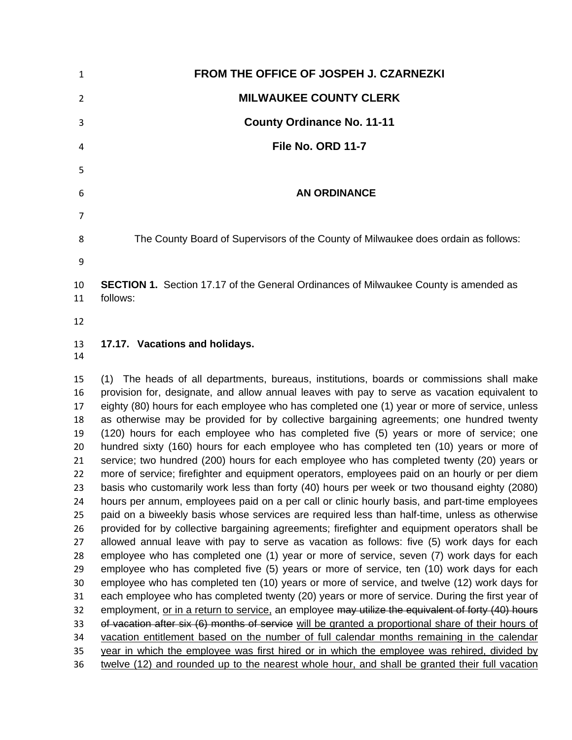| 1        | <b>FROM THE OFFICE OF JOSPEH J. CZARNEZKI</b>                                                           |
|----------|---------------------------------------------------------------------------------------------------------|
| 2        | <b>MILWAUKEE COUNTY CLERK</b>                                                                           |
| 3        | <b>County Ordinance No. 11-11</b>                                                                       |
| 4        | File No. ORD 11-7                                                                                       |
| 5        |                                                                                                         |
| 6        | <b>AN ORDINANCE</b>                                                                                     |
| 7        |                                                                                                         |
| 8        | The County Board of Supervisors of the County of Milwaukee does ordain as follows:                      |
| 9        |                                                                                                         |
| 10<br>11 | <b>SECTION 1.</b> Section 17.17 of the General Ordinances of Milwaukee County is amended as<br>follows: |
| 12       |                                                                                                         |

- 13 **17.17. Vacations and holidays.**
- 14

15 16 17 18 19 20 21 22 23 24 25 26 27 28 29 30 31 (1) The heads of all departments, bureaus, institutions, boards or commissions shall make provision for, designate, and allow annual leaves with pay to serve as vacation equivalent to eighty (80) hours for each employee who has completed one (1) year or more of service, unless as otherwise may be provided for by collective bargaining agreements; one hundred twenty (120) hours for each employee who has completed five (5) years or more of service; one hundred sixty (160) hours for each employee who has completed ten (10) years or more of service; two hundred (200) hours for each employee who has completed twenty (20) years or more of service; firefighter and equipment operators, employees paid on an hourly or per diem basis who customarily work less than forty (40) hours per week or two thousand eighty (2080) hours per annum, employees paid on a per call or clinic hourly basis, and part-time employees paid on a biweekly basis whose services are required less than half-time, unless as otherwise provided for by collective bargaining agreements; firefighter and equipment operators shall be allowed annual leave with pay to serve as vacation as follows: five (5) work days for each employee who has completed one (1) year or more of service, seven (7) work days for each employee who has completed five (5) years or more of service, ten (10) work days for each employee who has completed ten (10) years or more of service, and twelve (12) work days for each employee who has completed twenty (20) years or more of service. During the first year of 32 employment, or in a return to service, an employee may utilize the equivalent of forty (40) hours 33 of vacation after six (6) months of service will be granted a proportional share of their hours of 34 vacation entitlement based on the number of full calendar months remaining in the calendar 35 year in which the employee was first hired or in which the employee was rehired, divided by 36 twelve (12) and rounded up to the nearest whole hour, and shall be granted their full vacation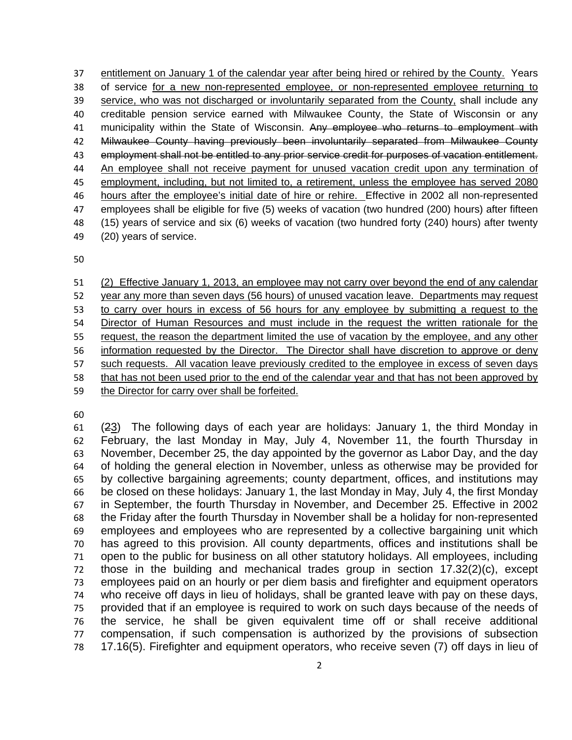entitlement on January 1 of the calendar year after being hired or rehired by the County. Years 38 of service for a new non-represented employee, or non-represented employee returning to 37 service, who was not discharged or involuntarily separated from the County, shall include any creditable pension service earned with Milwaukee County, the State of Wisconsin or any 41 municipality within the State of Wisconsin. Any employee who returns to employment with 39 40 42 Milwaukee County having previously been involuntarily separated from Milwaukee County 43 employment shall not be entitled to any prior service credit for purposes of vacation entitlement. 44 An employee shall not receive payment for unused vacation credit upon any termination of 45 employment, including, but not limited to, a retirement, unless the employee has served 2080 hours after the employee's initial date of hire or rehire. Effective in 2002 all non-represented employees shall be eligible for five (5) weeks of vacation (two hundred (200) hours) after fifteen (15) years of service and six (6) weeks of vacation (two hundred forty (240) hours) after twenty (20) years of service. 46 47 48 49

50

51 (2) Effective January 1, 2013, an employee may not carry over beyond the end of any calendar year any more than seven days (56 hours) of unused vacation leave. Departments may request to carry over hours in excess of 56 hours for any employee by submitting a request to the Director of Human Resources and must include in the request the written rationale for the request, the reason the department limited the use of vacation by the employee, and any other information requested by the Director. The Director shall have discretion to approve or deny such requests. All vacation leave previously credited to the employee in excess of seven days that has not been used prior to the end of the calendar year and that has not been approved by the Director for carry over shall be forfeited.

60

(23) The following days of each year are holidays: January 1, the third Monday in February, the last Monday in May, July 4, November 11, the fourth Thursday in November, December 25, the day appointed by the governor as Labor Day, and the day of holding the general election in November, unless as otherwise may be provided for by collective bargaining agreements; county department, offices, and institutions may be closed on these holidays: January 1, the last Monday in May, July 4, the first Monday in September, the fourth Thursday in November, and December 25. Effective in 2002 the Friday after the fourth Thursday in November shall be a holiday for non-represented employees and employees who are represented by a collective bargaining unit which has agreed to this provision. All county departments, offices and institutions shall be open to the public for business on all other statutory holidays. All employees, including those in the building and mechanical trades group in section 17.32(2)(c), except employees paid on an hourly or per diem basis and firefighter and equipment operators who receive off days in lieu of holidays, shall be granted leave with pay on these days, provided that if an employee is required to work on such days because of the needs of the service, he shall be given equivalent time off or shall receive additional compensation, if such compensation is authorized by the provisions of subsection 17.16(5). Firefighter and equipment operators, who receive seven (7) off days in lieu of 61 62 63 64 65 66 67 68 69 70 71 72 73 74 75 76 77 78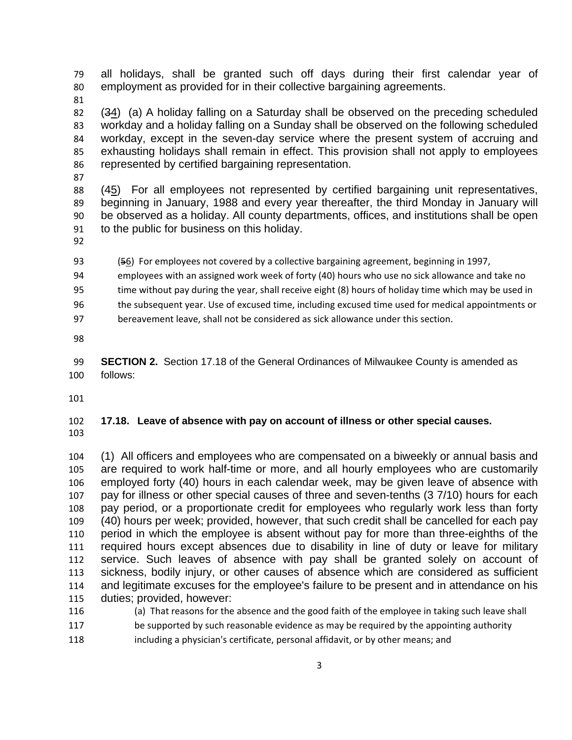79 80 all holidays, shall be granted such off days during their first calendar year of employment as provided for in their collective bargaining agreements.

81

(34) (a) A holiday falling on a Saturday shall be observed on the preceding scheduled workday and a holiday falling on a Sunday shall be observed on the following scheduled workday, except in the seven-day service where the present system of accruing and exhausting holidays shall remain in effect. This provision shall not apply to employees represented by certified bargaining representation. 82 83 84 85 86

87

(45) For all employees not represented by certified bargaining unit representatives, beginning in January, 1988 and every year thereafter, the third Monday in January will be observed as a holiday. All county departments, offices, and institutions shall be open to the public for business on this holiday. 88 89 90 91

92

(56) For employees not covered by a collective bargaining agreement, beginning in 1997, 93

employees with an assigned work week of forty (40) hours who use no sick allowance and take no 94

time without pay during the year, shall receive eight (8) hours of holiday time which may be used in 95

the subsequent year. Use of excused time, including excused time used for medical appointments or 96

- bereavement leave, shall not be considered as sick allowance under this section. 97
- 98

99 100 **SECTION 2.** Section 17.18 of the General Ordinances of Milwaukee County is amended as follows:

101

## 102 **17.18. Leave of absence with pay on account of illness or other special causes.**

103

104 105 106 107 108 109 110 111 112 113 114 115 (1) All officers and employees who are compensated on a biweekly or annual basis and are required to work half-time or more, and all hourly employees who are customarily employed forty (40) hours in each calendar week, may be given leave of absence with pay for illness or other special causes of three and seven-tenths (3 7/10) hours for each pay period, or a proportionate credit for employees who regularly work less than forty (40) hours per week; provided, however, that such credit shall be cancelled for each pay period in which the employee is absent without pay for more than three-eighths of the required hours except absences due to disability in line of duty or leave for military service. Such leaves of absence with pay shall be granted solely on account of sickness, bodily injury, or other causes of absence which are considered as sufficient and legitimate excuses for the employee's failure to be present and in attendance on his duties; provided, however:

- 116 (a) That reasons for the absence and the good faith of the employee in taking such leave shall
- 117 be supported by such reasonable evidence as may be required by the appointing authority
- 118 including a physician's certificate, personal affidavit, or by other means; and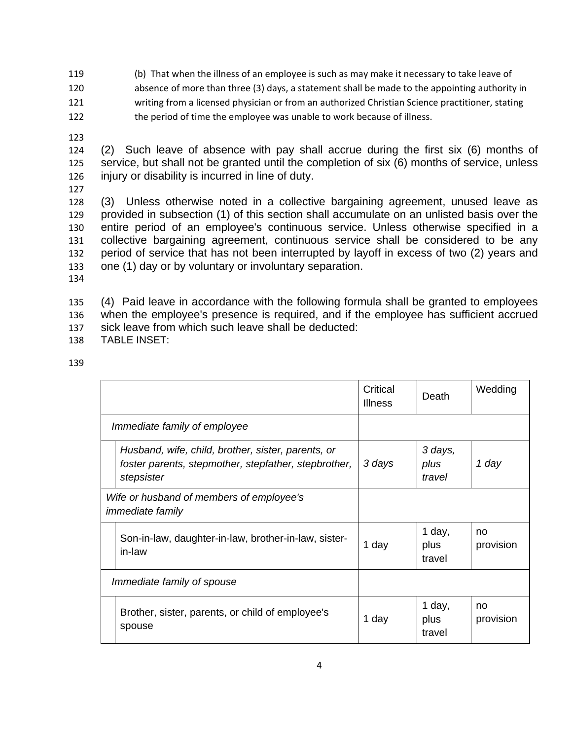- 119 (b) That when the illness of an employee is such as may make it necessary to take leave of
- 120 absence of more than three (3) days, a statement shall be made to the appointing authority in
- 121 writing from a licensed physician or from an authorized Christian Science practitioner, stating
- 122 the period of time the employee was unable to work because of illness.
- 123

124 125 126 (2) Such leave of absence with pay shall accrue during the first six (6) months of service, but shall not be granted until the completion of six (6) months of service, unless injury or disability is incurred in line of duty.

127

128 129 130 131 132 133 134 (3) Unless otherwise noted in a collective bargaining agreement, unused leave as provided in subsection (1) of this section shall accumulate on an unlisted basis over the entire period of an employee's continuous service. Unless otherwise specified in a collective bargaining agreement, continuous service shall be considered to be any period of service that has not been interrupted by layoff in excess of two (2) years and one (1) day or by voluntary or involuntary separation.

135 136 137 (4) Paid leave in accordance with the following formula shall be granted to employees when the employee's presence is required, and if the employee has sufficient accrued sick leave from which such leave shall be deducted:

138 TABLE INSET:

|                                                                     |                                                                                                                          | Critical<br><b>Illness</b> | Death                     | Wedding         |
|---------------------------------------------------------------------|--------------------------------------------------------------------------------------------------------------------------|----------------------------|---------------------------|-----------------|
| Immediate family of employee                                        |                                                                                                                          |                            |                           |                 |
|                                                                     | Husband, wife, child, brother, sister, parents, or<br>foster parents, stepmother, stepfather, stepbrother,<br>stepsister | 3 days                     | 3 days,<br>plus<br>travel | 1 day           |
| Wife or husband of members of employee's<br><i>immediate family</i> |                                                                                                                          |                            |                           |                 |
|                                                                     | Son-in-law, daughter-in-law, brother-in-law, sister-<br>in-law                                                           | 1 day                      | 1 day,<br>plus<br>travel  | no<br>provision |
| Immediate family of spouse                                          |                                                                                                                          |                            |                           |                 |
|                                                                     | Brother, sister, parents, or child of employee's<br>spouse                                                               | 1 day                      | 1 day,<br>plus<br>travel  | no<br>provision |

139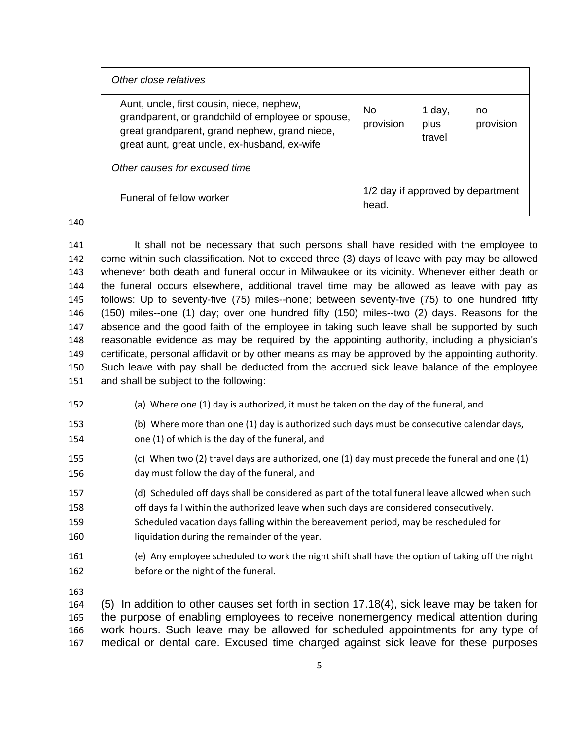| Other close relatives         |                                                                                                                                                                                                 |                                            |                          |                 |
|-------------------------------|-------------------------------------------------------------------------------------------------------------------------------------------------------------------------------------------------|--------------------------------------------|--------------------------|-----------------|
|                               | Aunt, uncle, first cousin, niece, nephew,<br>grandparent, or grandchild of employee or spouse,<br>great grandparent, grand nephew, grand niece,<br>great aunt, great uncle, ex-husband, ex-wife | No<br>provision                            | 1 day,<br>plus<br>travel | no<br>provision |
| Other causes for excused time |                                                                                                                                                                                                 |                                            |                          |                 |
|                               | Funeral of fellow worker                                                                                                                                                                        | 1/2 day if approved by department<br>head. |                          |                 |

140

141 142 143 144 145 146 147 148 149 150 151 It shall not be necessary that such persons shall have resided with the employee to come within such classification. Not to exceed three (3) days of leave with pay may be allowed whenever both death and funeral occur in Milwaukee or its vicinity. Whenever either death or the funeral occurs elsewhere, additional travel time may be allowed as leave with pay as follows: Up to seventy-five (75) miles--none; between seventy-five (75) to one hundred fifty (150) miles--one (1) day; over one hundred fifty (150) miles--two (2) days. Reasons for the absence and the good faith of the employee in taking such leave shall be supported by such reasonable evidence as may be required by the appointing authority, including a physician's certificate, personal affidavit or by other means as may be approved by the appointing authority. Such leave with pay shall be deducted from the accrued sick leave balance of the employee and shall be subject to the following:

- 152 (a) Where one (1) day is authorized, it must be taken on the day of the funeral, and
- 153 (b) Where more than one (1) day is authorized such days must be consecutive calendar days,
- 154 one (1) of which is the day of the funeral, and
- 155 156 (c) When two (2) travel days are authorized, one (1) day must precede the funeral and one (1) day must follow the day of the funeral, and
- 157 (d) Scheduled off days shall be considered as part of the total funeral leave allowed when such
- 158 off days fall within the authorized leave when such days are considered consecutively.
- 159 Scheduled vacation days falling within the bereavement period, may be rescheduled for
- 160 liquidation during the remainder of the year.
- 161 162 (e) Any employee scheduled to work the night shift shall have the option of taking off the night before or the night of the funeral.

163

164 165 166 167 (5) In addition to other causes set forth in section 17.18(4), sick leave may be taken for the purpose of enabling employees to receive nonemergency medical attention during work hours. Such leave may be allowed for scheduled appointments for any type of medical or dental care. Excused time charged against sick leave for these purposes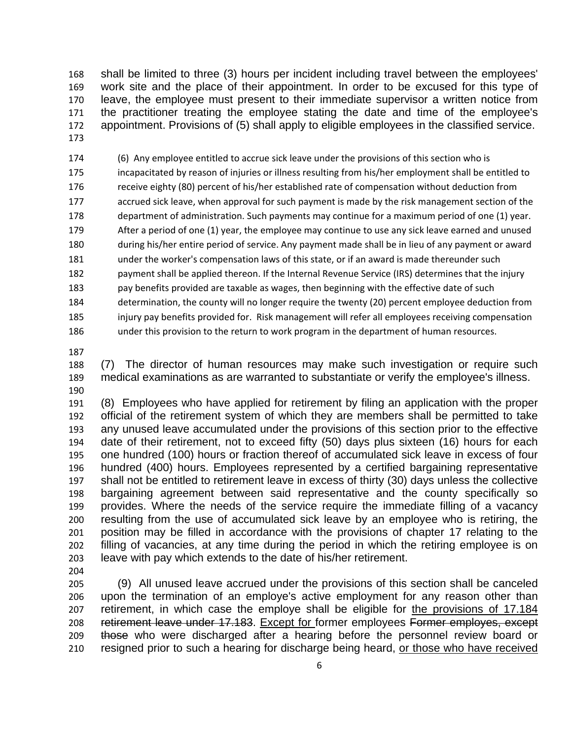168 169 170 171 172 173 shall be limited to three (3) hours per incident including travel between the employees' work site and the place of their appointment. In order to be excused for this type of leave, the employee must present to their immediate supervisor a written notice from the practitioner treating the employee stating the date and time of the employee's appointment. Provisions of (5) shall apply to eligible employees in the classified service.

174 175 176 177 178 179 180 181 182 183 184 185 186 (6) Any employee entitled to accrue sick leave under the provisions of this section who is incapacitated by reason of injuries or illness resulting from his/her employment shall be entitled to receive eighty (80) percent of his/her established rate of compensation without deduction from accrued sick leave, when approval for such payment is made by the risk management section of the department of administration. Such payments may continue for a maximum period of one (1) year. After a period of one (1) year, the employee may continue to use any sick leave earned and unused during his/her entire period of service. Any payment made shall be in lieu of any payment or award under the worker's compensation laws of this state, or if an award is made thereunder such payment shall be applied thereon. If the Internal Revenue Service (IRS) determines that the injury pay benefits provided are taxable as wages, then beginning with the effective date of such determination, the county will no longer require the twenty (20) percent employee deduction from injury pay benefits provided for. Risk management will refer all employees receiving compensation under this provision to the return to work program in the department of human resources.

187

188 189 190 (7) The director of human resources may make such investigation or require such medical examinations as are warranted to substantiate or verify the employee's illness.

191 192 193 194 195 196 197 198 199 200 201 202 203 (8) Employees who have applied for retirement by filing an application with the proper official of the retirement system of which they are members shall be permitted to take any unused leave accumulated under the provisions of this section prior to the effective date of their retirement, not to exceed fifty (50) days plus sixteen (16) hours for each one hundred (100) hours or fraction thereof of accumulated sick leave in excess of four hundred (400) hours. Employees represented by a certified bargaining representative shall not be entitled to retirement leave in excess of thirty (30) days unless the collective bargaining agreement between said representative and the county specifically so provides. Where the needs of the service require the immediate filling of a vacancy resulting from the use of accumulated sick leave by an employee who is retiring, the position may be filled in accordance with the provisions of chapter 17 relating to the filling of vacancies, at any time during the period in which the retiring employee is on leave with pay which extends to the date of his/her retirement.

204

205 206 (9) All unused leave accrued under the provisions of this section shall be canceled upon the termination of an employe's active employment for any reason other than 207 retirement, in which case the employe shall be eligible for the provisions of 17.184 208 retirement leave under 17.183. Except for former employees Former employes, except those who were discharged after a hearing before the personnel review board or 210 resigned prior to such a hearing for discharge being heard, or those who have received 209

6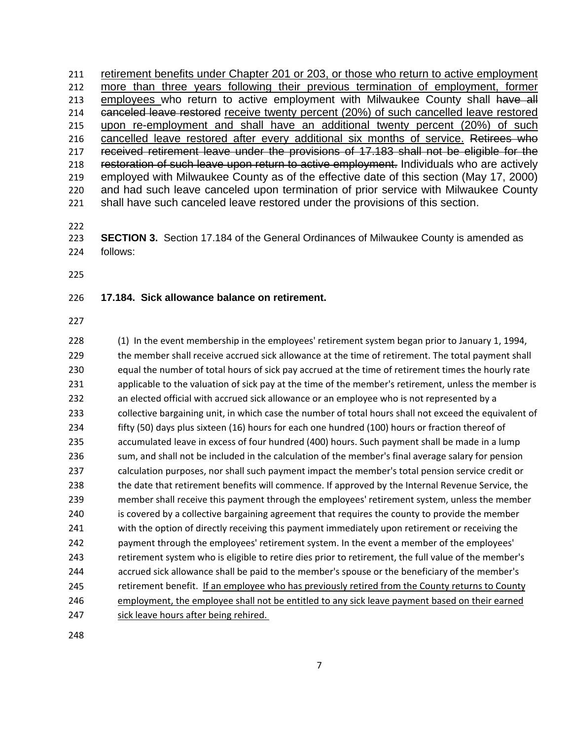211 retirement benefits under Chapter 201 or 203, or those who return to active employment 212 more than three years following their previous termination of employment, former 213 employees who return to active employment with Milwaukee County shall have all 214 canceled leave restored receive twenty percent (20%) of such cancelled leave restored 215 upon re-employment and shall have an additional twenty percent (20%) of such 216 cancelled leave restored after every additional six months of service. Retirees who 217 received retirement leave under the provisions of 17.183 shall not be eligible for the restoration of such leave upon return to active employment. Individuals who are actively employed with Milwaukee County as of the effective date of this section (May 17, 2000) and had such leave canceled upon termination of prior service with Milwaukee County shall have such canceled leave restored under the provisions of this section. 218 219 220 221

222

223 224 **SECTION 3.** Section 17.184 of the General Ordinances of Milwaukee County is amended as follows:

225

## 226 **17.184. Sick allowance balance on retirement.**

227

228 229 230 231 232 233 234 235 236 237 238 239 240 241 242 243 244 (1) In the event membership in the employees' retirement system began prior to January 1, 1994, the member shall receive accrued sick allowance at the time of retirement. The total payment shall equal the number of total hours of sick pay accrued at the time of retirement times the hourly rate applicable to the valuation of sick pay at the time of the member's retirement, unless the member is an elected official with accrued sick allowance or an employee who is not represented by a collective bargaining unit, in which case the number of total hours shall not exceed the equivalent of fifty (50) days plus sixteen (16) hours for each one hundred (100) hours or fraction thereof of accumulated leave in excess of four hundred (400) hours. Such payment shall be made in a lump sum, and shall not be included in the calculation of the member's final average salary for pension calculation purposes, nor shall such payment impact the member's total pension service credit or the date that retirement benefits will commence. If approved by the Internal Revenue Service, the member shall receive this payment through the employees' retirement system, unless the member is covered by a collective bargaining agreement that requires the county to provide the member with the option of directly receiving this payment immediately upon retirement or receiving the payment through the employees' retirement system. In the event a member of the employees' retirement system who is eligible to retire dies prior to retirement, the full value of the member's accrued sick allowance shall be paid to the member's spouse or the beneficiary of the member's 245 retirement benefit. If an employee who has previously retired from the County returns to County 246 employment, the employee shall not be entitled to any sick leave payment based on their earned 247 sick leave hours after being rehired.

248